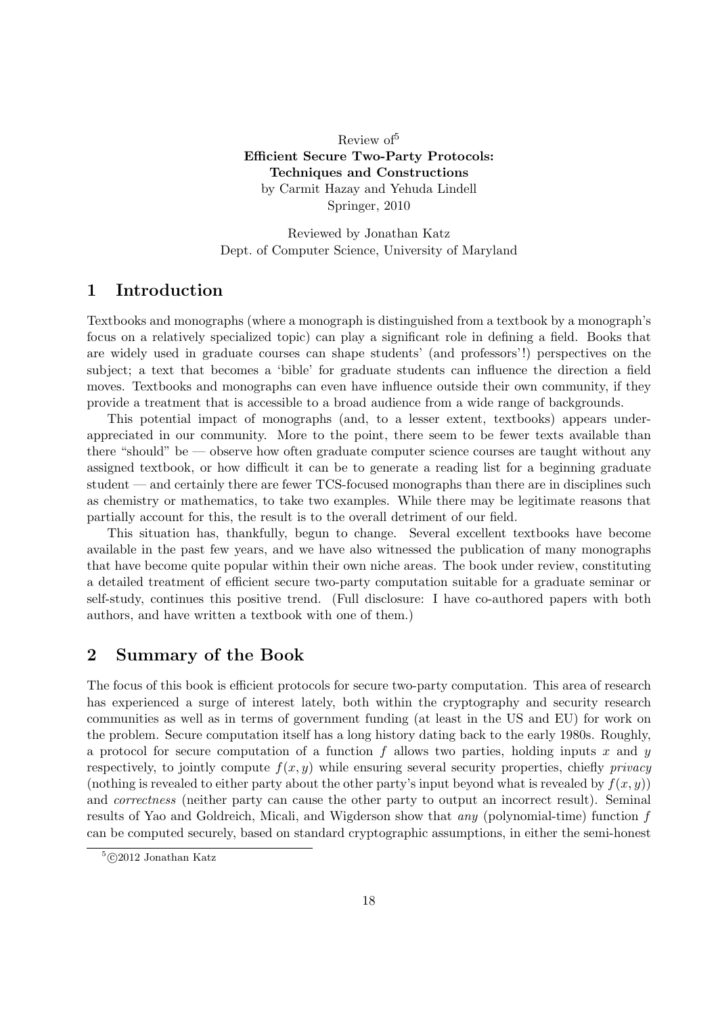Review of<sup>5</sup> Efficient Secure Two-Party Protocols: Techniques and Constructions by Carmit Hazay and Yehuda Lindell Springer, 2010

Reviewed by Jonathan Katz Dept. of Computer Science, University of Maryland

## 1 Introduction

Textbooks and monographs (where a monograph is distinguished from a textbook by a monograph's focus on a relatively specialized topic) can play a significant role in defining a field. Books that are widely used in graduate courses can shape students' (and professors'!) perspectives on the subject; a text that becomes a 'bible' for graduate students can influence the direction a field moves. Textbooks and monographs can even have influence outside their own community, if they provide a treatment that is accessible to a broad audience from a wide range of backgrounds.

This potential impact of monographs (and, to a lesser extent, textbooks) appears underappreciated in our community. More to the point, there seem to be fewer texts available than there "should" be — observe how often graduate computer science courses are taught without any assigned textbook, or how difficult it can be to generate a reading list for a beginning graduate student — and certainly there are fewer TCS-focused monographs than there are in disciplines such as chemistry or mathematics, to take two examples. While there may be legitimate reasons that partially account for this, the result is to the overall detriment of our field.

This situation has, thankfully, begun to change. Several excellent textbooks have become available in the past few years, and we have also witnessed the publication of many monographs that have become quite popular within their own niche areas. The book under review, constituting a detailed treatment of efficient secure two-party computation suitable for a graduate seminar or self-study, continues this positive trend. (Full disclosure: I have co-authored papers with both authors, and have written a textbook with one of them.)

## 2 Summary of the Book

The focus of this book is efficient protocols for secure two-party computation. This area of research has experienced a surge of interest lately, both within the cryptography and security research communities as well as in terms of government funding (at least in the US and EU) for work on the problem. Secure computation itself has a long history dating back to the early 1980s. Roughly, a protocol for secure computation of a function  $f$  allows two parties, holding inputs  $x$  and  $y$ respectively, to jointly compute  $f(x, y)$  while ensuring several security properties, chiefly *privacy* (nothing is revealed to either party about the other party's input beyond what is revealed by  $f(x, y)$ ) and *correctness* (neither party can cause the other party to output an incorrect result). Seminal results of Yao and Goldreich, Micali, and Wigderson show that any (polynomial-time) function f can be computed securely, based on standard cryptographic assumptions, in either the semi-honest

 $5$ ©2012 Jonathan Katz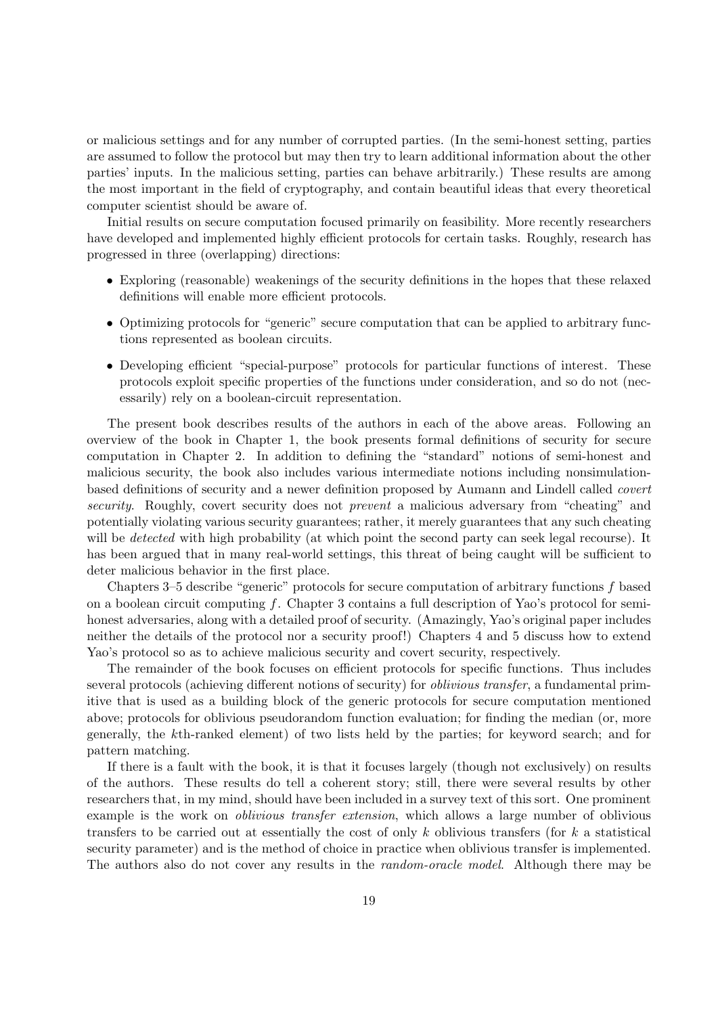or malicious settings and for any number of corrupted parties. (In the semi-honest setting, parties are assumed to follow the protocol but may then try to learn additional information about the other parties' inputs. In the malicious setting, parties can behave arbitrarily.) These results are among the most important in the field of cryptography, and contain beautiful ideas that every theoretical computer scientist should be aware of.

Initial results on secure computation focused primarily on feasibility. More recently researchers have developed and implemented highly efficient protocols for certain tasks. Roughly, research has progressed in three (overlapping) directions:

- Exploring (reasonable) weakenings of the security definitions in the hopes that these relaxed definitions will enable more efficient protocols.
- Optimizing protocols for "generic" secure computation that can be applied to arbitrary functions represented as boolean circuits.
- Developing efficient "special-purpose" protocols for particular functions of interest. These protocols exploit specific properties of the functions under consideration, and so do not (necessarily) rely on a boolean-circuit representation.

The present book describes results of the authors in each of the above areas. Following an overview of the book in Chapter 1, the book presents formal definitions of security for secure computation in Chapter 2. In addition to defining the "standard" notions of semi-honest and malicious security, the book also includes various intermediate notions including nonsimulationbased definitions of security and a newer definition proposed by Aumann and Lindell called covert security. Roughly, covert security does not *prevent* a malicious adversary from "cheating" and potentially violating various security guarantees; rather, it merely guarantees that any such cheating will be *detected* with high probability (at which point the second party can seek legal recourse). It has been argued that in many real-world settings, this threat of being caught will be sufficient to deter malicious behavior in the first place.

Chapters 3–5 describe "generic" protocols for secure computation of arbitrary functions f based on a boolean circuit computing f. Chapter 3 contains a full description of Yao's protocol for semihonest adversaries, along with a detailed proof of security. (Amazingly, Yao's original paper includes neither the details of the protocol nor a security proof!) Chapters 4 and 5 discuss how to extend Yao's protocol so as to achieve malicious security and covert security, respectively.

The remainder of the book focuses on efficient protocols for specific functions. Thus includes several protocols (achieving different notions of security) for oblivious transfer, a fundamental primitive that is used as a building block of the generic protocols for secure computation mentioned above; protocols for oblivious pseudorandom function evaluation; for finding the median (or, more generally, the kth-ranked element) of two lists held by the parties; for keyword search; and for pattern matching.

If there is a fault with the book, it is that it focuses largely (though not exclusively) on results of the authors. These results do tell a coherent story; still, there were several results by other researchers that, in my mind, should have been included in a survey text of this sort. One prominent example is the work on *oblivious transfer extension*, which allows a large number of oblivious transfers to be carried out at essentially the cost of only k oblivious transfers (for  $k$  a statistical security parameter) and is the method of choice in practice when oblivious transfer is implemented. The authors also do not cover any results in the *random-oracle model*. Although there may be